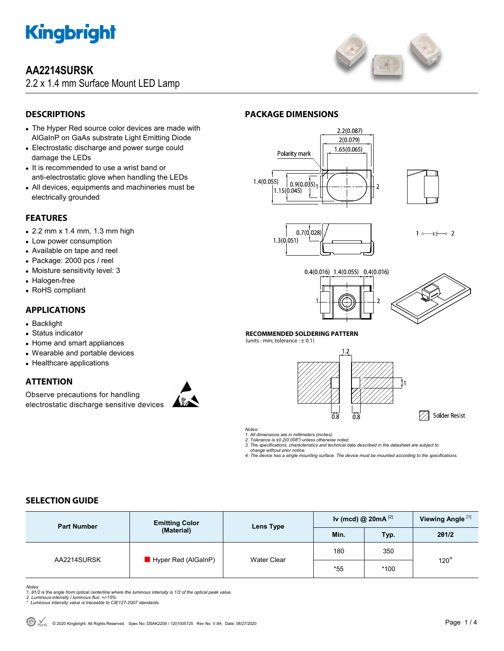

# **AA2214SURSK**

2.2 x 1.4 mm Surface Mount LED Lamp



# **DESCRIPTIONS**

- The Hyper Red source color devices are made with AlGaInP on GaAs substrate Light Emitting Diode
- Electrostatic discharge and power surge could damage the LEDs
- It is recommended to use a wrist band or anti-electrostatic glove when handling the LEDs
- All devices, equipments and machineries must be electrically grounded

# **FEATURES**

- 2.2 mm x 1.4 mm, 1.3 mm high
- Low power consumption
- Available on tape and reel
- Package: 2000 pcs / reel
- Moisture sensitivity level: 3
- Halogen-free
- RoHS compliant

## **APPLICATIONS**

- Backlight
- Status indicator
- Home and smart appliances
- Wearable and portable devices
- Healthcare applications

## **ATTENTION**

Observe precautions for handling electrostatic discharge sensitive devices



# **PACKAGE DIMENSIONS**







 $10 \times 20$ 





A Solder Resist

#### **RECOMMENDED SOLDERING PATTERN**

(units : mm; tolerance :  $\pm$  0.1)





*Notes:* 

*1. All dimensions are in millimeters (inches). 2. Tolerance is ±0.2(0.008") unless otherwise noted.* 

*3. The specifications, characteristics and technical data described in the datasheet are subject to* 

 *change without prior notice. 4. The device has a single mounting surface. The device must be mounted according to the specifications.* 

# **SELECTION GUIDE**

| <b>Part Number</b> | <b>Emitting Color</b><br>(Material) | Lens Type          | Iv (mcd) @ $20mA^{[2]}$ |        | Viewing Angle <sup>[1]</sup> |
|--------------------|-------------------------------------|--------------------|-------------------------|--------|------------------------------|
|                    |                                     |                    | Min.                    | Typ.   | 201/2                        |
| AA2214SURSK        | $\blacksquare$ Hyper Red (AlGaInP)  | <b>Water Clear</b> | 180                     | 350    | $120^\circ$                  |
|                    |                                     |                    | $*55$                   | $*100$ |                              |

Notes:<br>1. 61/2 is the angle from optical centerline where the luminous intensity is 1/2 of the optical peak value.<br>2. Luminous intensity / luminous flux: +/-15%.<br>\* Luminous intensity value is traceable to CIE127-2007 stand

- 
-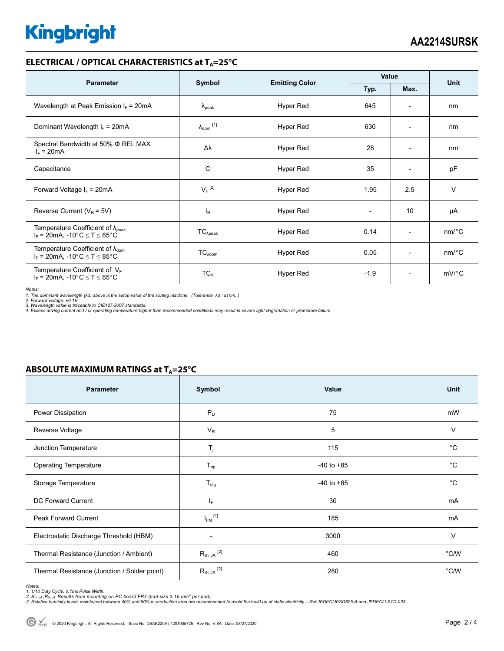# **Kingbright**

### **ELECTRICAL / OPTICAL CHARACTERISTICS at T<sub>A</sub>=25°C**

| <b>Parameter</b>                                                                                                                |                                | <b>Emitting Color</b> | Value                    |                          |                       |  |
|---------------------------------------------------------------------------------------------------------------------------------|--------------------------------|-----------------------|--------------------------|--------------------------|-----------------------|--|
|                                                                                                                                 | Symbol                         |                       | Typ.                     | Max.                     | Unit                  |  |
| Wavelength at Peak Emission $I_F$ = 20mA                                                                                        | $\lambda_{\rm peak}$           | Hyper Red             | 645                      | $\overline{\phantom{a}}$ | nm                    |  |
| Dominant Wavelength $I_F = 20mA$                                                                                                | $\lambda_{dom}$ <sup>[1]</sup> | Hyper Red             | 630                      | $\overline{\phantom{0}}$ | nm                    |  |
| Spectral Bandwidth at 50% $\Phi$ REL MAX<br>$I_F = 20mA$                                                                        | Δλ                             | Hyper Red             | 28                       | $\overline{\phantom{a}}$ | nm                    |  |
| Capacitance                                                                                                                     | C                              | Hyper Red             | 35                       | $\overline{\phantom{a}}$ | pF                    |  |
| Forward Voltage $I_F = 20mA$                                                                                                    | $V_F$ <sup>[2]</sup>           | Hyper Red             | 1.95                     | 2.5                      | $\vee$                |  |
| Reverse Current ( $V_R$ = 5V)                                                                                                   | l <sub>R</sub>                 | Hyper Red             | $\overline{\phantom{0}}$ | 10                       | μA                    |  |
| Temperature Coefficient of $\lambda_{\text{peak}}$<br>$I_F = 20$ mA, -10°C $\le T \le 85$ °C                                    | $TC_{\lambda peak}$            | Hyper Red             | 0.14                     | $\overline{\phantom{a}}$ | $nm$ <sup>o</sup> $C$ |  |
| Temperature Coefficient of $\lambda_{\text{dom}}$<br>$I_F = 20 \text{mA}, -10^{\circ} \text{C} \leq T \leq 85^{\circ} \text{C}$ | $TC_{\text{Adom}}$             | Hyper Red             | 0.05                     | $\overline{\phantom{0}}$ | $nm$ /°C              |  |
| Temperature Coefficient of $V_F$<br>$I_F = 20mA$ , -10°C $\le T \le 85$ °C                                                      | $TC_{V}$                       | Hyper Red             | $-1.9$                   | $\overline{\phantom{0}}$ | $mV$ °C               |  |

*Notes:* 

1. The dominant wavelength (λd) above is the setup value of the sorting machine. (Tolerance λd : ±1nm. )<br>2. Forward voltage: ±0.1V.<br>3. Wavelength value is traceable to CIE127-2007 standards.<br>4. Excess driving current and

#### **ABSOLUTE MAXIMUM RATINGS at T<sub>A</sub>=25°C**

| <b>Parameter</b>                             | Symbol                  | Value          | <b>Unit</b>    |
|----------------------------------------------|-------------------------|----------------|----------------|
| Power Dissipation                            | $P_D$                   | 75             | mW             |
| Reverse Voltage                              | $V_R$                   | 5              | $\vee$         |
| Junction Temperature                         | $\mathsf{T}_j$          | 115            | $^{\circ}C$    |
| <b>Operating Temperature</b>                 | $T_{op}$                | $-40$ to $+85$ | $^{\circ}$ C   |
| Storage Temperature                          | $T_{\text{stg}}$        | $-40$ to $+85$ | °C             |
| DC Forward Current                           | IF.                     | 30             | mA             |
| <b>Peak Forward Current</b>                  | $I_{FM}$ <sup>[1]</sup> | 185            | mA             |
| Electrostatic Discharge Threshold (HBM)      | ٠                       | 3000           | $\vee$         |
| Thermal Resistance (Junction / Ambient)      | $R_{th}$ JA $^{[2]}$    | 460            | $^{\circ}$ C/W |
| Thermal Resistance (Junction / Solder point) | $R_{th}$ JS $^{[2]}$    | 280            | $^{\circ}$ C/W |

Notes:<br>1. 1/10 Duty Cycle, 0.1ms Pulse Width.<br>2. R<sub>th JA</sub> ,R<sub>th JS</sub> Results from mounting on PC board FR4 (pad size ≥ 16 mm<sup>2</sup> per pad).<br>3. Relative humidity levels maintained between 40% and 60% in production area are re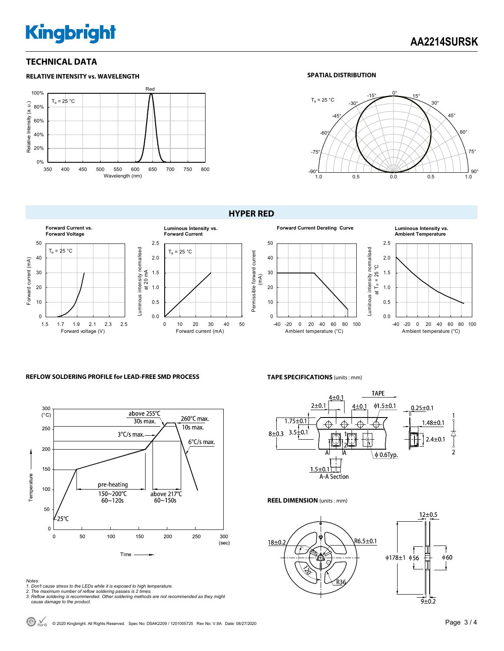# **Kingbright**

## **TECHNICAL DATA**



#### **SPATIAL DISTRIBUTION**



0.0 0.5 1.0 1.5 2.0 2.5

Luminous intensity normalised

-40 -20 0 20 40 60 80 100 Ambient temperature (°C)

**Ambient Temperature**

#### **HYPER RED**



#### **REFLOW SOLDERING PROFILE for LEAD-FREE SMD PROCESS**



#### **TAPE SPECIFICATIONS** (units : mm)



#### **REEL DIMENSION** (units : mm)



*Notes:* 

- *1. Don't cause stress to the LEDs while it is exposed to high temperature.*
- 
- *2. The maximum number of reflow soldering passes is 2 times. 3. Reflow soldering is recommended. Other soldering methods are not recommended as they might cause damage to the product.*